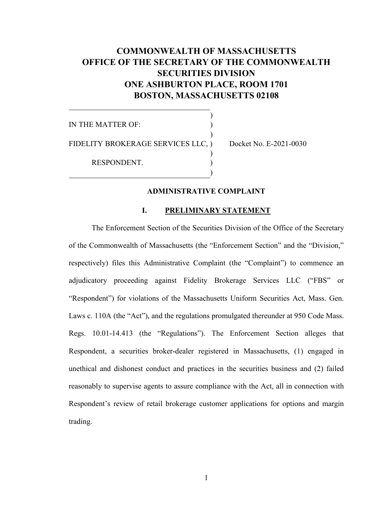# **COMMONWEALTH OF MASSACHUSETTS OFFICE OF THE SECRETARY OF THE COMMONWEALTH SECURITIES DIVISION ONE ASHBURTON PLACE, ROOM 1701 BOSTON, MASSACHUSETTS 02108**

)

IN THE MATTER OF:  $\overline{\phantom{a}}$ FIDELITY BROKERAGE SERVICES LLC, ) Docket No. E-2021-0030 ) RESPONDENT. )

## **ADMINISTRATIVE COMPLAINT**

## **I. PRELIMINARY STATEMENT**

The Enforcement Section of the Securities Division of the Office of the Secretary of the Commonwealth of Massachusetts (the "Enforcement Section" and the "Division," respectively) files this Administrative Complaint (the "Complaint") to commence an adjudicatory proceeding against Fidelity Brokerage Services LLC ("FBS" or "Respondent") for violations of the Massachusetts Uniform Securities Act, Mass. Gen. Laws c. 110A (the "Act"), and the regulations promulgated thereunder at 950 Code Mass. Regs. 10.01-14.413 (the "Regulations"). The Enforcement Section alleges that Respondent, a securities broker-dealer registered in Massachusetts, (1) engaged in unethical and dishonest conduct and practices in the securities business and (2) failed reasonably to supervise agents to assure compliance with the Act, all in connection with Respondent's review of retail brokerage customer applications for options and margin trading.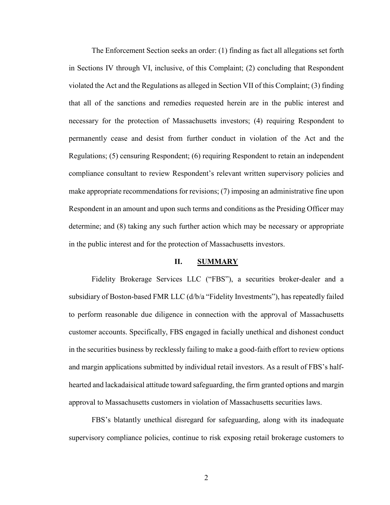The Enforcement Section seeks an order: (1) finding as fact all allegations set forth in Sections IV through VI, inclusive, of this Complaint; (2) concluding that Respondent violated the Act and the Regulations as alleged in Section VII of this Complaint; (3) finding that all of the sanctions and remedies requested herein are in the public interest and necessary for the protection of Massachusetts investors; (4) requiring Respondent to permanently cease and desist from further conduct in violation of the Act and the Regulations; (5) censuring Respondent; (6) requiring Respondent to retain an independent compliance consultant to review Respondent's relevant written supervisory policies and make appropriate recommendations for revisions; (7) imposing an administrative fine upon Respondent in an amount and upon such terms and conditions as the Presiding Officer may determine; and (8) taking any such further action which may be necessary or appropriate in the public interest and for the protection of Massachusetts investors.

#### **II. SUMMARY**

Fidelity Brokerage Services LLC ("FBS"), a securities broker-dealer and a subsidiary of Boston-based FMR LLC (d/b/a "Fidelity Investments"), has repeatedly failed to perform reasonable due diligence in connection with the approval of Massachusetts customer accounts. Specifically, FBS engaged in facially unethical and dishonest conduct in the securities business by recklessly failing to make a good-faith effort to review options and margin applications submitted by individual retail investors. As a result of FBS's halfhearted and lackadaisical attitude toward safeguarding, the firm granted options and margin approval to Massachusetts customers in violation of Massachusetts securities laws.

FBS's blatantly unethical disregard for safeguarding, along with its inadequate supervisory compliance policies, continue to risk exposing retail brokerage customers to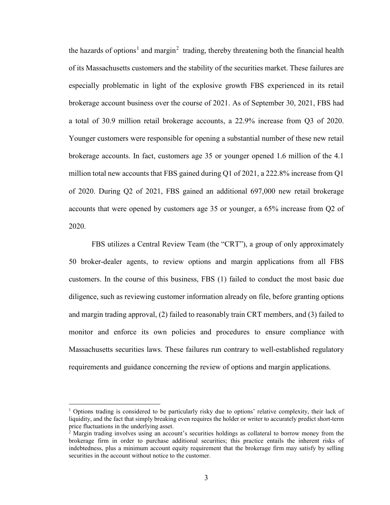the hazards of options<sup>[1](#page-2-0)</sup> and margin<sup>[2](#page-2-1)</sup> trading, thereby threatening both the financial health of its Massachusetts customers and the stability of the securities market. These failures are especially problematic in light of the explosive growth FBS experienced in its retail brokerage account business over the course of 2021. As of September 30, 2021, FBS had a total of 30.9 million retail brokerage accounts, a 22.9% increase from Q3 of 2020. Younger customers were responsible for opening a substantial number of these new retail brokerage accounts. In fact, customers age 35 or younger opened 1.6 million of the 4.1 million total new accounts that FBS gained during Q1 of 2021, a 222.8% increase from Q1 of 2020. During Q2 of 2021, FBS gained an additional 697,000 new retail brokerage accounts that were opened by customers age 35 or younger, a 65% increase from Q2 of 2020.

FBS utilizes a Central Review Team (the "CRT"), a group of only approximately 50 broker-dealer agents, to review options and margin applications from all FBS customers. In the course of this business, FBS (1) failed to conduct the most basic due diligence, such as reviewing customer information already on file, before granting options and margin trading approval, (2) failed to reasonably train CRT members, and (3) failed to monitor and enforce its own policies and procedures to ensure compliance with Massachusetts securities laws. These failures run contrary to well-established regulatory requirements and guidance concerning the review of options and margin applications.

<span id="page-2-0"></span><sup>&</sup>lt;sup>1</sup> Options trading is considered to be particularly risky due to options' relative complexity, their lack of liquidity, and the fact that simply breaking even requires the holder or writer to accurately predict short-term price fluctuations in the underlying asset.

<span id="page-2-1"></span> $^2$  Margin trading involves using an account's securities holdings as collateral to borrow money from the brokerage firm in order to purchase additional securities; this practice entails the inherent risks of indebtedness, plus a minimum account equity requirement that the brokerage firm may satisfy by selling securities in the account without notice to the customer.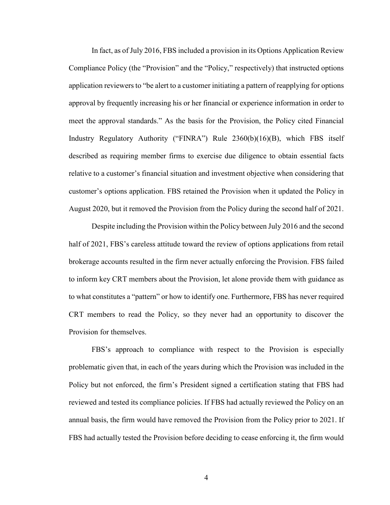In fact, as of July 2016, FBS included a provision in its Options Application Review Compliance Policy (the "Provision" and the "Policy," respectively) that instructed options application reviewers to "be alert to a customer initiating a pattern of reapplying for options approval by frequently increasing his or her financial or experience information in order to meet the approval standards." As the basis for the Provision, the Policy cited Financial Industry Regulatory Authority ("FINRA") Rule 2360(b)(16)(B), which FBS itself described as requiring member firms to exercise due diligence to obtain essential facts relative to a customer's financial situation and investment objective when considering that customer's options application. FBS retained the Provision when it updated the Policy in August 2020, but it removed the Provision from the Policy during the second half of 2021.

Despite including the Provision within the Policy between July 2016 and the second half of 2021, FBS's careless attitude toward the review of options applications from retail brokerage accounts resulted in the firm never actually enforcing the Provision. FBS failed to inform key CRT members about the Provision, let alone provide them with guidance as to what constitutes a "pattern" or how to identify one. Furthermore, FBS has never required CRT members to read the Policy, so they never had an opportunity to discover the Provision for themselves.

FBS's approach to compliance with respect to the Provision is especially problematic given that, in each of the years during which the Provision was included in the Policy but not enforced, the firm's President signed a certification stating that FBS had reviewed and tested its compliance policies. If FBS had actually reviewed the Policy on an annual basis, the firm would have removed the Provision from the Policy prior to 2021. If FBS had actually tested the Provision before deciding to cease enforcing it, the firm would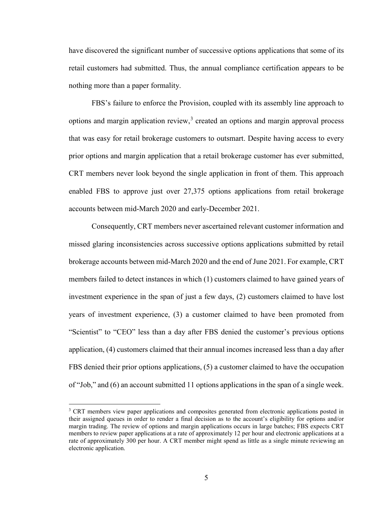have discovered the significant number of successive options applications that some of its retail customers had submitted. Thus, the annual compliance certification appears to be nothing more than a paper formality.

FBS's failure to enforce the Provision, coupled with its assembly line approach to options and margin application review,<sup>[3](#page-4-0)</sup> created an options and margin approval process that was easy for retail brokerage customers to outsmart. Despite having access to every prior options and margin application that a retail brokerage customer has ever submitted, CRT members never look beyond the single application in front of them. This approach enabled FBS to approve just over 27,375 options applications from retail brokerage accounts between mid-March 2020 and early-December 2021.

Consequently, CRT members never ascertained relevant customer information and missed glaring inconsistencies across successive options applications submitted by retail brokerage accounts between mid-March 2020 and the end of June 2021. For example, CRT members failed to detect instances in which (1) customers claimed to have gained years of investment experience in the span of just a few days, (2) customers claimed to have lost years of investment experience, (3) a customer claimed to have been promoted from "Scientist" to "CEO" less than a day after FBS denied the customer's previous options application, (4) customers claimed that their annual incomes increased less than a day after FBS denied their prior options applications, (5) a customer claimed to have the occupation of "Job," and (6) an account submitted 11 options applications in the span of a single week.

<span id="page-4-0"></span><sup>&</sup>lt;sup>3</sup> CRT members view paper applications and composites generated from electronic applications posted in their assigned queues in order to render a final decision as to the account's eligibility for options and/or margin trading. The review of options and margin applications occurs in large batches; FBS expects CRT members to review paper applications at a rate of approximately 12 per hour and electronic applications at a rate of approximately 300 per hour. A CRT member might spend as little as a single minute reviewing an electronic application.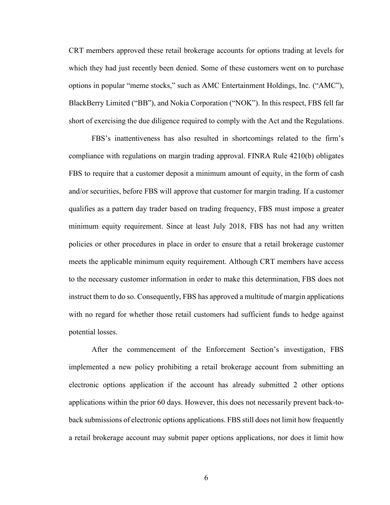CRT members approved these retail brokerage accounts for options trading at levels for which they had just recently been denied. Some of these customers went on to purchase options in popular "meme stocks," such as AMC Entertainment Holdings, Inc. ("AMC"), BlackBerry Limited ("BB"), and Nokia Corporation ("NOK"). In this respect, FBS fell far short of exercising the due diligence required to comply with the Act and the Regulations.

FBS's inattentiveness has also resulted in shortcomings related to the firm's compliance with regulations on margin trading approval. FINRA Rule 4210(b) obligates FBS to require that a customer deposit a minimum amount of equity, in the form of cash and/or securities, before FBS will approve that customer for margin trading. If a customer qualifies as a pattern day trader based on trading frequency, FBS must impose a greater minimum equity requirement. Since at least July 2018, FBS has not had any written policies or other procedures in place in order to ensure that a retail brokerage customer meets the applicable minimum equity requirement. Although CRT members have access to the necessary customer information in order to make this determination, FBS does not instruct them to do so. Consequently, FBS has approved a multitude of margin applications with no regard for whether those retail customers had sufficient funds to hedge against potential losses.

After the commencement of the Enforcement Section's investigation, FBS implemented a new policy prohibiting a retail brokerage account from submitting an electronic options application if the account has already submitted 2 other options applications within the prior 60 days. However, this does not necessarily prevent back-toback submissions of electronic options applications. FBS still does not limit how frequently a retail brokerage account may submit paper options applications, nor does it limit how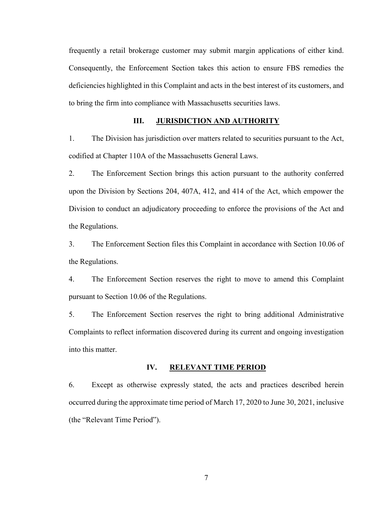frequently a retail brokerage customer may submit margin applications of either kind. Consequently, the Enforcement Section takes this action to ensure FBS remedies the deficiencies highlighted in this Complaint and acts in the best interest of its customers, and to bring the firm into compliance with Massachusetts securities laws.

## **III. JURISDICTION AND AUTHORITY**

1. The Division has jurisdiction over matters related to securities pursuant to the Act, codified at Chapter 110A of the Massachusetts General Laws.

2. The Enforcement Section brings this action pursuant to the authority conferred upon the Division by Sections 204, 407A, 412, and 414 of the Act, which empower the Division to conduct an adjudicatory proceeding to enforce the provisions of the Act and the Regulations.

3. The Enforcement Section files this Complaint in accordance with Section 10.06 of the Regulations.

4. The Enforcement Section reserves the right to move to amend this Complaint pursuant to Section 10.06 of the Regulations.

5. The Enforcement Section reserves the right to bring additional Administrative Complaints to reflect information discovered during its current and ongoing investigation into this matter.

#### **IV. RELEVANT TIME PERIOD**

6. Except as otherwise expressly stated, the acts and practices described herein occurred during the approximate time period of March 17, 2020 to June 30, 2021, inclusive (the "Relevant Time Period").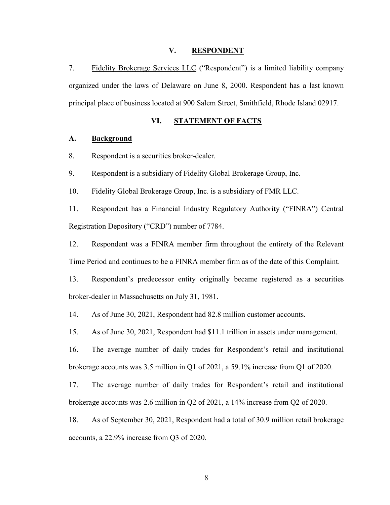#### **V. RESPONDENT**

7. Fidelity Brokerage Services LLC ("Respondent") is a limited liability company organized under the laws of Delaware on June 8, 2000. Respondent has a last known principal place of business located at 900 Salem Street, Smithfield, Rhode Island 02917.

## **VI. STATEMENT OF FACTS**

#### **A. Background**

8. Respondent is a securities broker-dealer.

9. Respondent is a subsidiary of Fidelity Global Brokerage Group, Inc.

10. Fidelity Global Brokerage Group, Inc. is a subsidiary of FMR LLC.

11. Respondent has a Financial Industry Regulatory Authority ("FINRA") Central Registration Depository ("CRD") number of 7784.

12. Respondent was a FINRA member firm throughout the entirety of the Relevant Time Period and continues to be a FINRA member firm as of the date of this Complaint.

13. Respondent's predecessor entity originally became registered as a securities broker-dealer in Massachusetts on July 31, 1981.

14. As of June 30, 2021, Respondent had 82.8 million customer accounts.

15. As of June 30, 2021, Respondent had \$11.1 trillion in assets under management.

16. The average number of daily trades for Respondent's retail and institutional brokerage accounts was 3.5 million in Q1 of 2021, a 59.1% increase from Q1 of 2020.

17. The average number of daily trades for Respondent's retail and institutional brokerage accounts was 2.6 million in Q2 of 2021, a 14% increase from Q2 of 2020.

18. As of September 30, 2021, Respondent had a total of 30.9 million retail brokerage accounts, a 22.9% increase from Q3 of 2020.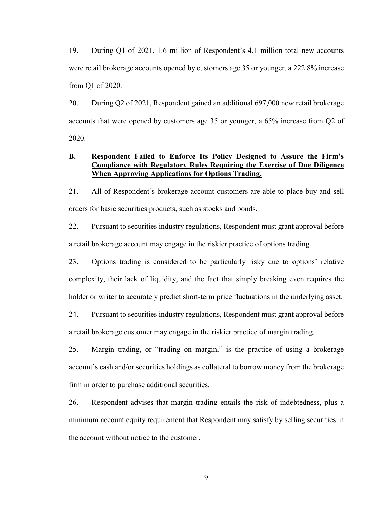19. During Q1 of 2021, 1.6 million of Respondent's 4.1 million total new accounts were retail brokerage accounts opened by customers age 35 or younger, a 222.8% increase from Q1 of 2020.

20. During Q2 of 2021, Respondent gained an additional 697,000 new retail brokerage accounts that were opened by customers age 35 or younger, a 65% increase from Q2 of 2020.

## **B. Respondent Failed to Enforce Its Policy Designed to Assure the Firm's Compliance with Regulatory Rules Requiring the Exercise of Due Diligence When Approving Applications for Options Trading.**

21. All of Respondent's brokerage account customers are able to place buy and sell orders for basic securities products, such as stocks and bonds.

22. Pursuant to securities industry regulations, Respondent must grant approval before a retail brokerage account may engage in the riskier practice of options trading.

23. Options trading is considered to be particularly risky due to options' relative complexity, their lack of liquidity, and the fact that simply breaking even requires the holder or writer to accurately predict short-term price fluctuations in the underlying asset.

24. Pursuant to securities industry regulations, Respondent must grant approval before a retail brokerage customer may engage in the riskier practice of margin trading.

25. Margin trading, or "trading on margin," is the practice of using a brokerage account's cash and/or securities holdings as collateral to borrow money from the brokerage firm in order to purchase additional securities.

26. Respondent advises that margin trading entails the risk of indebtedness, plus a minimum account equity requirement that Respondent may satisfy by selling securities in the account without notice to the customer.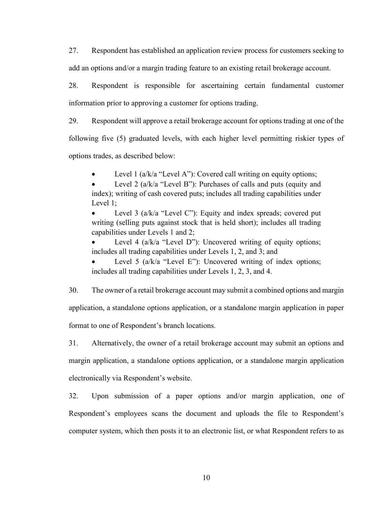27. Respondent has established an application review process for customers seeking to add an options and/or a margin trading feature to an existing retail brokerage account.

28. Respondent is responsible for ascertaining certain fundamental customer information prior to approving a customer for options trading.

29. Respondent will approve a retail brokerage account for options trading at one of the

following five (5) graduated levels, with each higher level permitting riskier types of

options trades, as described below:

Level 1 ( $a/k/a$  "Level A"): Covered call writing on equity options;

Level 2 (a/k/a "Level B"): Purchases of calls and puts (equity and index); writing of cash covered puts; includes all trading capabilities under Level 1;

Level 3 (a/k/a "Level C"): Equity and index spreads; covered put writing (selling puts against stock that is held short); includes all trading capabilities under Levels 1 and 2;

Level 4 ( $a/k/a$  "Level D"): Uncovered writing of equity options; includes all trading capabilities under Levels 1, 2, and 3; and

Level 5 ( $a/k/a$  "Level E"): Uncovered writing of index options; includes all trading capabilities under Levels 1, 2, 3, and 4.

30. The owner of a retail brokerage account may submit a combined options and margin application, a standalone options application, or a standalone margin application in paper format to one of Respondent's branch locations.

31. Alternatively, the owner of a retail brokerage account may submit an options and margin application, a standalone options application, or a standalone margin application electronically via Respondent's website.

32. Upon submission of a paper options and/or margin application, one of Respondent's employees scans the document and uploads the file to Respondent's computer system, which then posts it to an electronic list, or what Respondent refers to as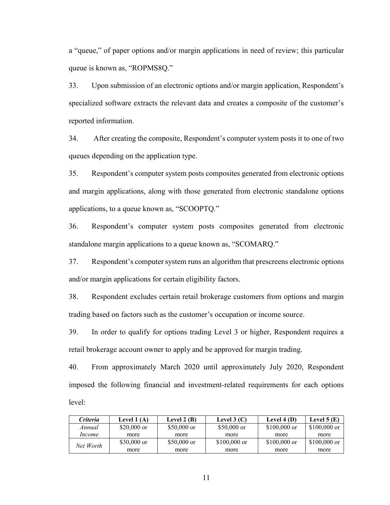a "queue," of paper options and/or margin applications in need of review; this particular queue is known as, "ROPMS8Q."

33. Upon submission of an electronic options and/or margin application, Respondent's specialized software extracts the relevant data and creates a composite of the customer's reported information.

34. After creating the composite, Respondent's computer system posts it to one of two queues depending on the application type.

35. Respondent's computer system posts composites generated from electronic options and margin applications, along with those generated from electronic standalone options applications, to a queue known as, "SCOOPTQ."

36. Respondent's computer system posts composites generated from electronic standalone margin applications to a queue known as, "SCOMARQ."

37. Respondent's computer system runs an algorithm that prescreens electronic options and/or margin applications for certain eligibility factors.

38. Respondent excludes certain retail brokerage customers from options and margin trading based on factors such as the customer's occupation or income source.

39. In order to qualify for options trading Level 3 or higher, Respondent requires a retail brokerage account owner to apply and be approved for margin trading.

40. From approximately March 2020 until approximately July 2020, Respondent imposed the following financial and investment-related requirements for each options level:

| Criteria  | Level 1 (A)  | Level 2 $(B)$ | Level $3(C)$  | Level $4(D)$  | Level $5(E)$  |
|-----------|--------------|---------------|---------------|---------------|---------------|
| Annual    | $$20,000$ or | $$50,000$ or  | $$50,000$ or  | $$100,000$ or | $$100,000$ or |
| Income    | more         | more          | more          | more          | more          |
| Net Worth | $$30,000$ or | $$50,000$ or  | $$100,000$ or | $$100,000$ or | $$100,000$ or |
|           | more         | more          | more          | more          | more          |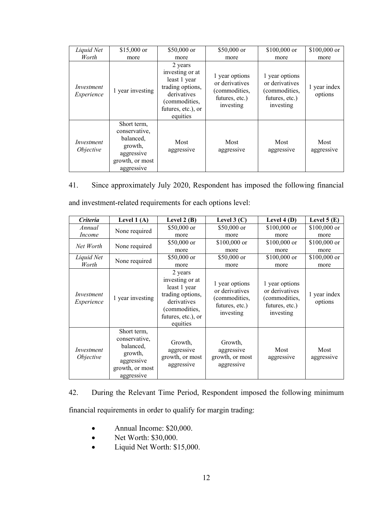| Liquid Net                     | $$15,000$ or                                                                                        | \$50,000 or                                                                                                                      | $$50,000$ or                                                                     | \$100,000 or                                                                     | \$100,000 or            |
|--------------------------------|-----------------------------------------------------------------------------------------------------|----------------------------------------------------------------------------------------------------------------------------------|----------------------------------------------------------------------------------|----------------------------------------------------------------------------------|-------------------------|
| Worth                          | more                                                                                                | more                                                                                                                             | more                                                                             | more                                                                             | more                    |
| Investment<br>Experience       | 1 year investing                                                                                    | 2 years<br>investing or at<br>least 1 year<br>trading options,<br>derivatives<br>(commodities,<br>futures, etc.), or<br>equities | 1 year options<br>or derivatives<br>(commodities,<br>futures, etc.)<br>investing | 1 year options<br>or derivatives<br>(commodities,<br>futures, etc.)<br>investing | 1 year index<br>options |
| Investment<br><i>Objective</i> | Short term,<br>conservative,<br>balanced,<br>growth,<br>aggressive<br>growth, or most<br>aggressive | Most<br>aggressive                                                                                                               | Most<br>aggressive                                                               | Most<br>aggressive                                                               | Most<br>aggressive      |

41. Since approximately July 2020, Respondent has imposed the following financial and investment-related requirements for each options level:

| <b>Criteria</b>                | Level $1(A)$                                                                                        | Level $2(B)$                                                                                                                     | Level $3(C)$                                                                     | Level $4(D)$                                                                     | Level $5(E)$            |
|--------------------------------|-----------------------------------------------------------------------------------------------------|----------------------------------------------------------------------------------------------------------------------------------|----------------------------------------------------------------------------------|----------------------------------------------------------------------------------|-------------------------|
| Annual                         | None required                                                                                       | $$50,000$ or                                                                                                                     | $$50,000$ or                                                                     | \$100,000 or                                                                     | $$100,000$ or           |
| <i>Income</i>                  |                                                                                                     | more                                                                                                                             | more                                                                             | more                                                                             | more                    |
| Net Worth                      | None required                                                                                       | $$50,000$ or                                                                                                                     | $$100,000$ or                                                                    | $$100,000$ or                                                                    | $$100,000$ or           |
|                                |                                                                                                     | more                                                                                                                             | more                                                                             | more                                                                             | more                    |
| Liquid Net<br>Worth            | None required                                                                                       | $$50,000$ or                                                                                                                     | $$50,000$ or                                                                     | $$100,000$ or                                                                    | $$100,000$ or           |
|                                |                                                                                                     | more                                                                                                                             | more                                                                             | more                                                                             | more                    |
| Investment<br>Experience       | 1 year investing                                                                                    | 2 years<br>investing or at<br>least 1 year<br>trading options,<br>derivatives<br>(commodities,<br>futures, etc.), or<br>equities | 1 year options<br>or derivatives<br>(commodities,<br>futures, etc.)<br>investing | 1 year options<br>or derivatives<br>(commodities,<br>futures, etc.)<br>investing | 1 year index<br>options |
| Investment<br><i>Objective</i> | Short term,<br>conservative,<br>balanced,<br>growth,<br>aggressive<br>growth, or most<br>aggressive | Growth,<br>aggressive<br>growth, or most<br>aggressive                                                                           | Growth,<br>aggressive<br>growth, or most<br>aggressive                           | Most<br>aggressive                                                               | Most<br>aggressive      |

## 42. During the Relevant Time Period, Respondent imposed the following minimum

financial requirements in order to qualify for margin trading:

- Annual Income: \$20,000.
- Net Worth: \$30,000.
- Liquid Net Worth: \$15,000.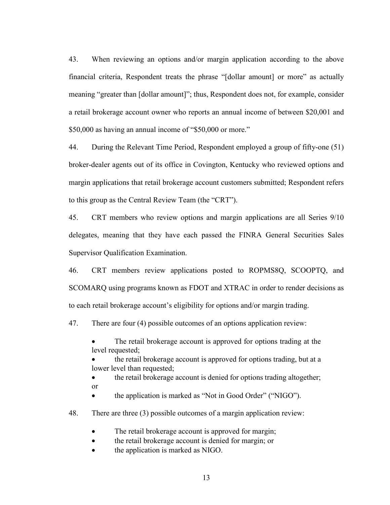43. When reviewing an options and/or margin application according to the above financial criteria, Respondent treats the phrase "[dollar amount] or more" as actually meaning "greater than [dollar amount]"; thus, Respondent does not, for example, consider a retail brokerage account owner who reports an annual income of between \$20,001 and \$50,000 as having an annual income of "\$50,000 or more."

44. During the Relevant Time Period, Respondent employed a group of fifty-one (51) broker-dealer agents out of its office in Covington, Kentucky who reviewed options and margin applications that retail brokerage account customers submitted; Respondent refers to this group as the Central Review Team (the "CRT").

45. CRT members who review options and margin applications are all Series 9/10 delegates, meaning that they have each passed the FINRA General Securities Sales Supervisor Qualification Examination.

46. CRT members review applications posted to ROPMS8Q, SCOOPTQ, and SCOMARQ using programs known as FDOT and XTRAC in order to render decisions as to each retail brokerage account's eligibility for options and/or margin trading.

47. There are four (4) possible outcomes of an options application review:

The retail brokerage account is approved for options trading at the level requested;

• the retail brokerage account is approved for options trading, but at a lower level than requested;

• the retail brokerage account is denied for options trading altogether; or

• the application is marked as "Not in Good Order" ("NIGO").

48. There are three (3) possible outcomes of a margin application review:

The retail brokerage account is approved for margin;

the retail brokerage account is denied for margin; or

the application is marked as NIGO.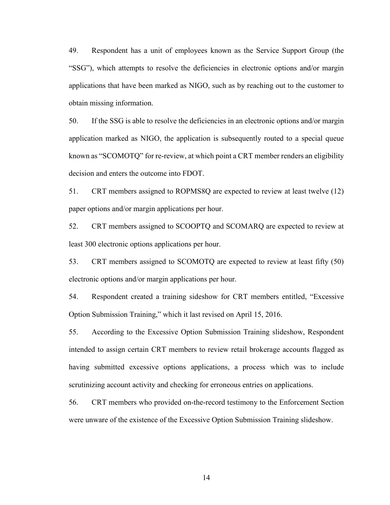49. Respondent has a unit of employees known as the Service Support Group (the "SSG"), which attempts to resolve the deficiencies in electronic options and/or margin applications that have been marked as NIGO, such as by reaching out to the customer to obtain missing information.

50. If the SSG is able to resolve the deficiencies in an electronic options and/or margin application marked as NIGO, the application is subsequently routed to a special queue known as "SCOMOTQ" for re-review, at which point a CRT member renders an eligibility decision and enters the outcome into FDOT.

51. CRT members assigned to ROPMS8Q are expected to review at least twelve (12) paper options and/or margin applications per hour.

52. CRT members assigned to SCOOPTQ and SCOMARQ are expected to review at least 300 electronic options applications per hour.

53. CRT members assigned to SCOMOTQ are expected to review at least fifty (50) electronic options and/or margin applications per hour.

54. Respondent created a training sideshow for CRT members entitled, "Excessive Option Submission Training," which it last revised on April 15, 2016.

55. According to the Excessive Option Submission Training slideshow, Respondent intended to assign certain CRT members to review retail brokerage accounts flagged as having submitted excessive options applications, a process which was to include scrutinizing account activity and checking for erroneous entries on applications.

56. CRT members who provided on-the-record testimony to the Enforcement Section were unware of the existence of the Excessive Option Submission Training slideshow.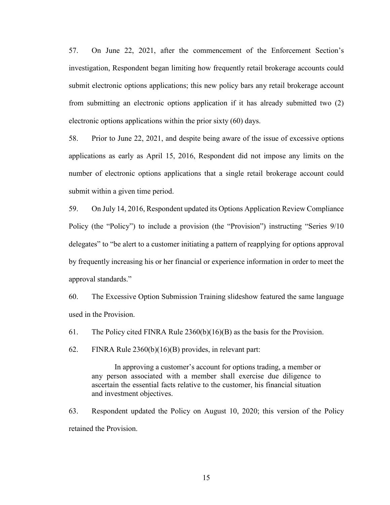57. On June 22, 2021, after the commencement of the Enforcement Section's investigation, Respondent began limiting how frequently retail brokerage accounts could submit electronic options applications; this new policy bars any retail brokerage account from submitting an electronic options application if it has already submitted two (2) electronic options applications within the prior sixty (60) days.

58. Prior to June 22, 2021, and despite being aware of the issue of excessive options applications as early as April 15, 2016, Respondent did not impose any limits on the number of electronic options applications that a single retail brokerage account could submit within a given time period.

59. On July 14, 2016, Respondent updated its Options Application Review Compliance Policy (the "Policy") to include a provision (the "Provision") instructing "Series 9/10 delegates" to "be alert to a customer initiating a pattern of reapplying for options approval by frequently increasing his or her financial or experience information in order to meet the approval standards."

60. The Excessive Option Submission Training slideshow featured the same language used in the Provision.

61. The Policy cited FINRA Rule 2360(b)(16)(B) as the basis for the Provision.

62. FINRA Rule 2360(b)(16)(B) provides, in relevant part:

In approving a customer's account for options trading, a member or any person associated with a member shall exercise due diligence to ascertain the essential facts relative to the customer, his financial situation and investment objectives.

63. Respondent updated the Policy on August 10, 2020; this version of the Policy retained the Provision.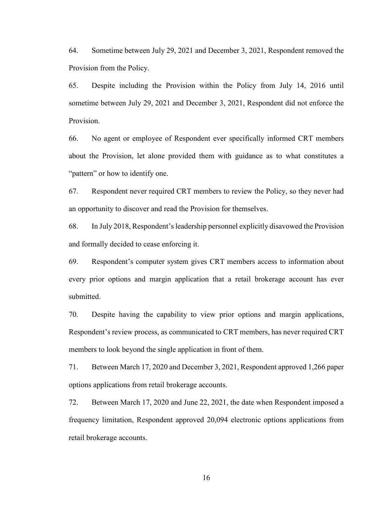64. Sometime between July 29, 2021 and December 3, 2021, Respondent removed the Provision from the Policy.

65. Despite including the Provision within the Policy from July 14, 2016 until sometime between July 29, 2021 and December 3, 2021, Respondent did not enforce the Provision.

66. No agent or employee of Respondent ever specifically informed CRT members about the Provision, let alone provided them with guidance as to what constitutes a "pattern" or how to identify one.

67. Respondent never required CRT members to review the Policy, so they never had an opportunity to discover and read the Provision for themselves.

68. In July 2018, Respondent's leadership personnel explicitly disavowed the Provision and formally decided to cease enforcing it.

69. Respondent's computer system gives CRT members access to information about every prior options and margin application that a retail brokerage account has ever submitted.

70. Despite having the capability to view prior options and margin applications, Respondent's review process, as communicated to CRT members, has never required CRT members to look beyond the single application in front of them.

71. Between March 17, 2020 and December 3, 2021, Respondent approved 1,266 paper options applications from retail brokerage accounts.

72. Between March 17, 2020 and June 22, 2021, the date when Respondent imposed a frequency limitation, Respondent approved 20,094 electronic options applications from retail brokerage accounts.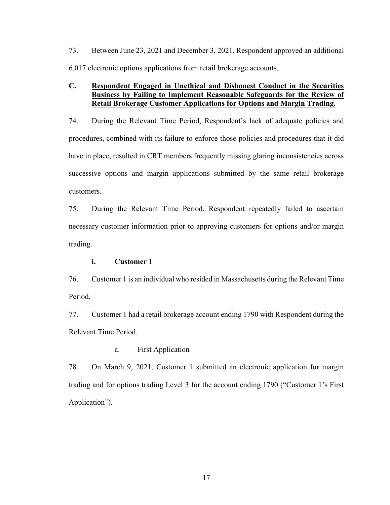73. Between June 23, 2021 and December 3, 2021, Respondent approved an additional 6,017 electronic options applications from retail brokerage accounts.

## **C. Respondent Engaged in Unethical and Dishonest Conduct in the Securities Business by Failing to Implement Reasonable Safeguards for the Review of Retail Brokerage Customer Applications for Options and Margin Trading.**

74. During the Relevant Time Period, Respondent's lack of adequate policies and procedures, combined with its failure to enforce those policies and procedures that it did have in place, resulted in CRT members frequently missing glaring inconsistencies across successive options and margin applications submitted by the same retail brokerage customers.

75. During the Relevant Time Period, Respondent repeatedly failed to ascertain necessary customer information prior to approving customers for options and/or margin trading.

#### **i. Customer 1**

76. Customer 1 is an individual who resided in Massachusetts during the Relevant Time Period.

77. Customer 1 had a retail brokerage account ending 1790 with Respondent during the Relevant Time Period.

### a. First Application

78. On March 9, 2021, Customer 1 submitted an electronic application for margin trading and for options trading Level 3 for the account ending 1790 ("Customer 1's First Application").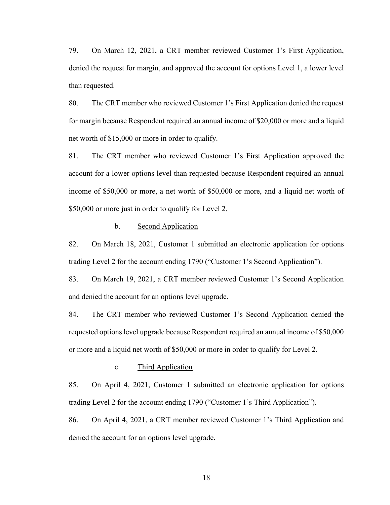79. On March 12, 2021, a CRT member reviewed Customer 1's First Application, denied the request for margin, and approved the account for options Level 1, a lower level than requested.

80. The CRT member who reviewed Customer 1's First Application denied the request for margin because Respondent required an annual income of \$20,000 or more and a liquid net worth of \$15,000 or more in order to qualify.

81. The CRT member who reviewed Customer 1's First Application approved the account for a lower options level than requested because Respondent required an annual income of \$50,000 or more, a net worth of \$50,000 or more, and a liquid net worth of \$50,000 or more just in order to qualify for Level 2.

#### b. Second Application

82. On March 18, 2021, Customer 1 submitted an electronic application for options trading Level 2 for the account ending 1790 ("Customer 1's Second Application").

83. On March 19, 2021, a CRT member reviewed Customer 1's Second Application and denied the account for an options level upgrade.

84. The CRT member who reviewed Customer 1's Second Application denied the requested options level upgrade because Respondent required an annual income of \$50,000 or more and a liquid net worth of \$50,000 or more in order to qualify for Level 2.

#### c. Third Application

85. On April 4, 2021, Customer 1 submitted an electronic application for options trading Level 2 for the account ending 1790 ("Customer 1's Third Application").

86. On April 4, 2021, a CRT member reviewed Customer 1's Third Application and denied the account for an options level upgrade.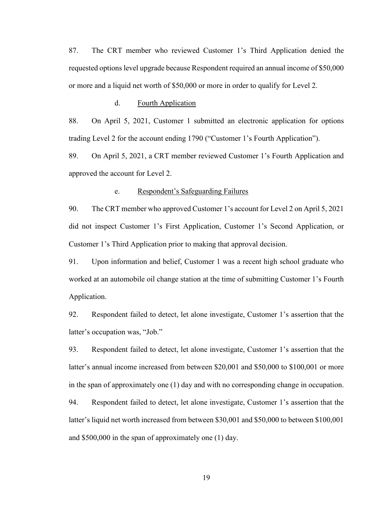87. The CRT member who reviewed Customer 1's Third Application denied the requested options level upgrade because Respondent required an annual income of \$50,000 or more and a liquid net worth of \$50,000 or more in order to qualify for Level 2.

#### d. Fourth Application

88. On April 5, 2021, Customer 1 submitted an electronic application for options trading Level 2 for the account ending 1790 ("Customer 1's Fourth Application").

89. On April 5, 2021, a CRT member reviewed Customer 1's Fourth Application and approved the account for Level 2.

#### e. Respondent's Safeguarding Failures

90. The CRT member who approved Customer 1's account for Level 2 on April 5, 2021 did not inspect Customer 1's First Application, Customer 1's Second Application, or Customer 1's Third Application prior to making that approval decision.

91. Upon information and belief, Customer 1 was a recent high school graduate who worked at an automobile oil change station at the time of submitting Customer 1's Fourth Application.

92. Respondent failed to detect, let alone investigate, Customer 1's assertion that the latter's occupation was, "Job."

93. Respondent failed to detect, let alone investigate, Customer 1's assertion that the latter's annual income increased from between \$20,001 and \$50,000 to \$100,001 or more in the span of approximately one (1) day and with no corresponding change in occupation.

94. Respondent failed to detect, let alone investigate, Customer 1's assertion that the latter's liquid net worth increased from between \$30,001 and \$50,000 to between \$100,001 and \$500,000 in the span of approximately one (1) day.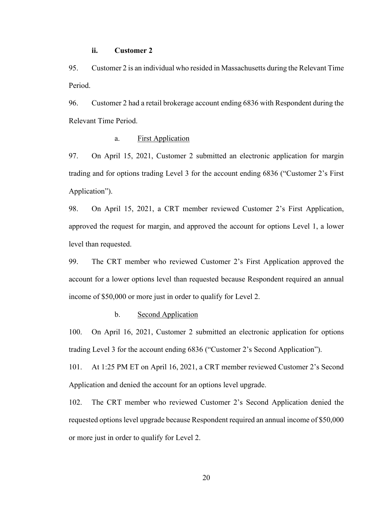### **ii. Customer 2**

95. Customer 2 is an individual who resided in Massachusetts during the Relevant Time Period.

96. Customer 2 had a retail brokerage account ending 6836 with Respondent during the Relevant Time Period.

## a. First Application

97. On April 15, 2021, Customer 2 submitted an electronic application for margin trading and for options trading Level 3 for the account ending 6836 ("Customer 2's First Application").

98. On April 15, 2021, a CRT member reviewed Customer 2's First Application, approved the request for margin, and approved the account for options Level 1, a lower level than requested.

99. The CRT member who reviewed Customer 2's First Application approved the account for a lower options level than requested because Respondent required an annual income of \$50,000 or more just in order to qualify for Level 2.

#### b. Second Application

100. On April 16, 2021, Customer 2 submitted an electronic application for options trading Level 3 for the account ending 6836 ("Customer 2's Second Application").

101. At 1:25 PM ET on April 16, 2021, a CRT member reviewed Customer 2's Second Application and denied the account for an options level upgrade.

102. The CRT member who reviewed Customer 2's Second Application denied the requested options level upgrade because Respondent required an annual income of \$50,000 or more just in order to qualify for Level 2.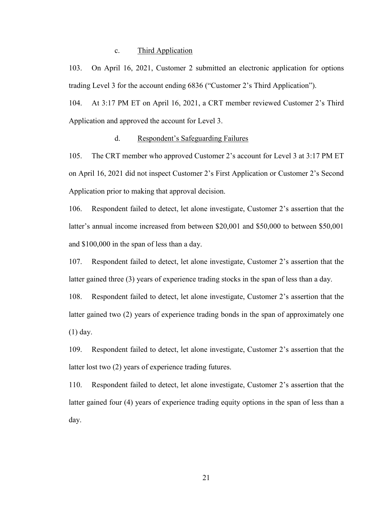#### c. Third Application

103. On April 16, 2021, Customer 2 submitted an electronic application for options trading Level 3 for the account ending 6836 ("Customer 2's Third Application").

104. At 3:17 PM ET on April 16, 2021, a CRT member reviewed Customer 2's Third Application and approved the account for Level 3.

#### d. Respondent's Safeguarding Failures

105. The CRT member who approved Customer 2's account for Level 3 at 3:17 PM ET on April 16, 2021 did not inspect Customer 2's First Application or Customer 2's Second Application prior to making that approval decision.

106. Respondent failed to detect, let alone investigate, Customer 2's assertion that the latter's annual income increased from between \$20,001 and \$50,000 to between \$50,001 and \$100,000 in the span of less than a day.

107. Respondent failed to detect, let alone investigate, Customer 2's assertion that the latter gained three (3) years of experience trading stocks in the span of less than a day.

108. Respondent failed to detect, let alone investigate, Customer 2's assertion that the latter gained two (2) years of experience trading bonds in the span of approximately one (1) day.

109. Respondent failed to detect, let alone investigate, Customer 2's assertion that the latter lost two (2) years of experience trading futures.

110. Respondent failed to detect, let alone investigate, Customer 2's assertion that the latter gained four (4) years of experience trading equity options in the span of less than a day.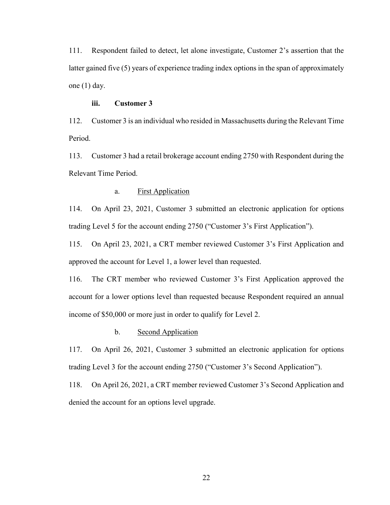111. Respondent failed to detect, let alone investigate, Customer 2's assertion that the latter gained five (5) years of experience trading index options in the span of approximately one (1) day.

## **iii. Customer 3**

112. Customer 3 is an individual who resided in Massachusetts during the Relevant Time Period.

113. Customer 3 had a retail brokerage account ending 2750 with Respondent during the Relevant Time Period.

## a. First Application

114. On April 23, 2021, Customer 3 submitted an electronic application for options trading Level 5 for the account ending 2750 ("Customer 3's First Application").

115. On April 23, 2021, a CRT member reviewed Customer 3's First Application and approved the account for Level 1, a lower level than requested.

116. The CRT member who reviewed Customer 3's First Application approved the account for a lower options level than requested because Respondent required an annual income of \$50,000 or more just in order to qualify for Level 2.

#### b. Second Application

117. On April 26, 2021, Customer 3 submitted an electronic application for options trading Level 3 for the account ending 2750 ("Customer 3's Second Application").

118. On April 26, 2021, a CRT member reviewed Customer 3's Second Application and denied the account for an options level upgrade.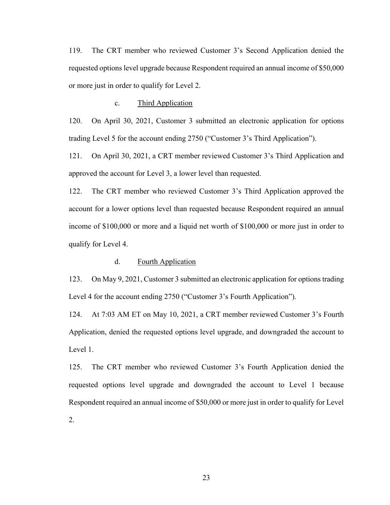119. The CRT member who reviewed Customer 3's Second Application denied the requested options level upgrade because Respondent required an annual income of \$50,000 or more just in order to qualify for Level 2.

#### c. Third Application

120. On April 30, 2021, Customer 3 submitted an electronic application for options trading Level 5 for the account ending 2750 ("Customer 3's Third Application").

121. On April 30, 2021, a CRT member reviewed Customer 3's Third Application and approved the account for Level 3, a lower level than requested.

122. The CRT member who reviewed Customer 3's Third Application approved the account for a lower options level than requested because Respondent required an annual income of \$100,000 or more and a liquid net worth of \$100,000 or more just in order to qualify for Level 4.

## d. Fourth Application

123. On May 9, 2021, Customer 3 submitted an electronic application for options trading Level 4 for the account ending 2750 ("Customer 3's Fourth Application").

124. At 7:03 AM ET on May 10, 2021, a CRT member reviewed Customer 3's Fourth Application, denied the requested options level upgrade, and downgraded the account to Level 1.

125. The CRT member who reviewed Customer 3's Fourth Application denied the requested options level upgrade and downgraded the account to Level 1 because Respondent required an annual income of \$50,000 or more just in order to qualify for Level 2.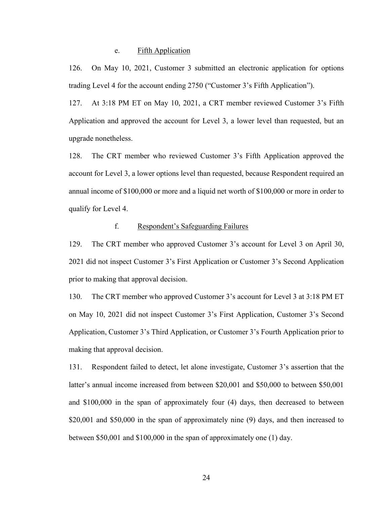#### e. Fifth Application

126. On May 10, 2021, Customer 3 submitted an electronic application for options trading Level 4 for the account ending 2750 ("Customer 3's Fifth Application").

127. At 3:18 PM ET on May 10, 2021, a CRT member reviewed Customer 3's Fifth Application and approved the account for Level 3, a lower level than requested, but an upgrade nonetheless.

128. The CRT member who reviewed Customer 3's Fifth Application approved the account for Level 3, a lower options level than requested, because Respondent required an annual income of \$100,000 or more and a liquid net worth of \$100,000 or more in order to qualify for Level 4.

#### f. Respondent's Safeguarding Failures

129. The CRT member who approved Customer 3's account for Level 3 on April 30, 2021 did not inspect Customer 3's First Application or Customer 3's Second Application prior to making that approval decision.

130. The CRT member who approved Customer 3's account for Level 3 at 3:18 PM ET on May 10, 2021 did not inspect Customer 3's First Application, Customer 3's Second Application, Customer 3's Third Application, or Customer 3's Fourth Application prior to making that approval decision.

131. Respondent failed to detect, let alone investigate, Customer 3's assertion that the latter's annual income increased from between \$20,001 and \$50,000 to between \$50,001 and \$100,000 in the span of approximately four (4) days, then decreased to between \$20,001 and \$50,000 in the span of approximately nine (9) days, and then increased to between \$50,001 and \$100,000 in the span of approximately one (1) day.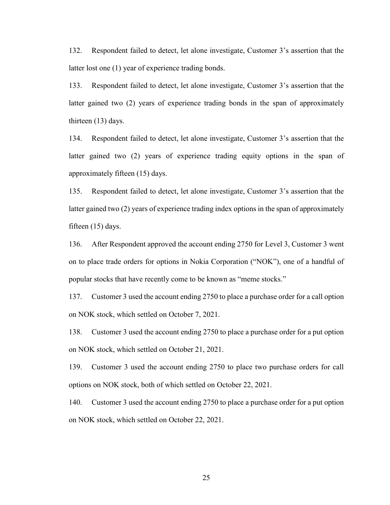132. Respondent failed to detect, let alone investigate, Customer 3's assertion that the latter lost one (1) year of experience trading bonds.

133. Respondent failed to detect, let alone investigate, Customer 3's assertion that the latter gained two (2) years of experience trading bonds in the span of approximately thirteen (13) days.

134. Respondent failed to detect, let alone investigate, Customer 3's assertion that the latter gained two (2) years of experience trading equity options in the span of approximately fifteen (15) days.

135. Respondent failed to detect, let alone investigate, Customer 3's assertion that the latter gained two (2) years of experience trading index options in the span of approximately fifteen (15) days.

136. After Respondent approved the account ending 2750 for Level 3, Customer 3 went on to place trade orders for options in Nokia Corporation ("NOK"), one of a handful of popular stocks that have recently come to be known as "meme stocks."

137. Customer 3 used the account ending 2750 to place a purchase order for a call option on NOK stock, which settled on October 7, 2021.

138. Customer 3 used the account ending 2750 to place a purchase order for a put option on NOK stock, which settled on October 21, 2021.

139. Customer 3 used the account ending 2750 to place two purchase orders for call options on NOK stock, both of which settled on October 22, 2021.

140. Customer 3 used the account ending 2750 to place a purchase order for a put option on NOK stock, which settled on October 22, 2021.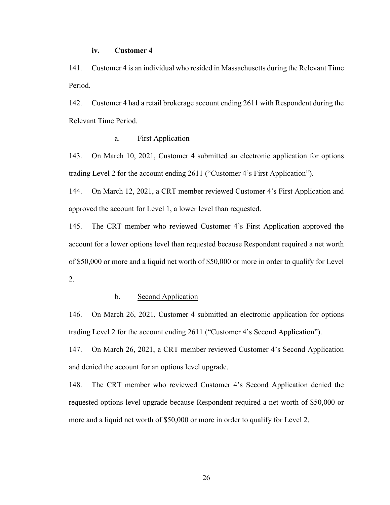### **iv. Customer 4**

141. Customer 4 is an individual who resided in Massachusetts during the Relevant Time Period.

142. Customer 4 had a retail brokerage account ending 2611 with Respondent during the Relevant Time Period.

## a. First Application

143. On March 10, 2021, Customer 4 submitted an electronic application for options trading Level 2 for the account ending 2611 ("Customer 4's First Application").

144. On March 12, 2021, a CRT member reviewed Customer 4's First Application and approved the account for Level 1, a lower level than requested.

145. The CRT member who reviewed Customer 4's First Application approved the account for a lower options level than requested because Respondent required a net worth of \$50,000 or more and a liquid net worth of \$50,000 or more in order to qualify for Level 2.

#### b. Second Application

146. On March 26, 2021, Customer 4 submitted an electronic application for options trading Level 2 for the account ending 2611 ("Customer 4's Second Application").

147. On March 26, 2021, a CRT member reviewed Customer 4's Second Application and denied the account for an options level upgrade.

148. The CRT member who reviewed Customer 4's Second Application denied the requested options level upgrade because Respondent required a net worth of \$50,000 or more and a liquid net worth of \$50,000 or more in order to qualify for Level 2.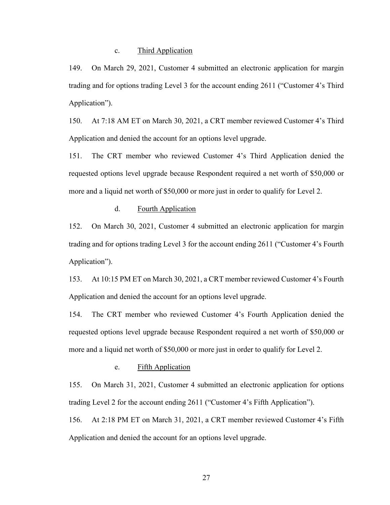#### c. Third Application

149. On March 29, 2021, Customer 4 submitted an electronic application for margin trading and for options trading Level 3 for the account ending 2611 ("Customer 4's Third Application").

150. At 7:18 AM ET on March 30, 2021, a CRT member reviewed Customer 4's Third Application and denied the account for an options level upgrade.

151. The CRT member who reviewed Customer 4's Third Application denied the requested options level upgrade because Respondent required a net worth of \$50,000 or more and a liquid net worth of \$50,000 or more just in order to qualify for Level 2.

## d. Fourth Application

152. On March 30, 2021, Customer 4 submitted an electronic application for margin trading and for options trading Level 3 for the account ending 2611 ("Customer 4's Fourth Application").

153. At 10:15 PM ET on March 30, 2021, a CRT member reviewed Customer 4's Fourth Application and denied the account for an options level upgrade.

154. The CRT member who reviewed Customer 4's Fourth Application denied the requested options level upgrade because Respondent required a net worth of \$50,000 or more and a liquid net worth of \$50,000 or more just in order to qualify for Level 2.

#### e. Fifth Application

155. On March 31, 2021, Customer 4 submitted an electronic application for options trading Level 2 for the account ending 2611 ("Customer 4's Fifth Application").

156. At 2:18 PM ET on March 31, 2021, a CRT member reviewed Customer 4's Fifth Application and denied the account for an options level upgrade.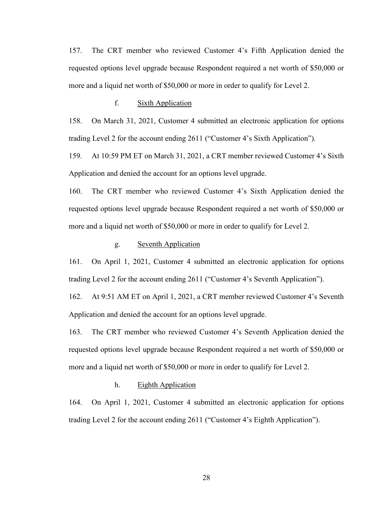157. The CRT member who reviewed Customer 4's Fifth Application denied the requested options level upgrade because Respondent required a net worth of \$50,000 or more and a liquid net worth of \$50,000 or more in order to qualify for Level 2.

#### f. Sixth Application

158. On March 31, 2021, Customer 4 submitted an electronic application for options trading Level 2 for the account ending 2611 ("Customer 4's Sixth Application").

159. At 10:59 PM ET on March 31, 2021, a CRT member reviewed Customer 4's Sixth Application and denied the account for an options level upgrade.

160. The CRT member who reviewed Customer 4's Sixth Application denied the requested options level upgrade because Respondent required a net worth of \$50,000 or more and a liquid net worth of \$50,000 or more in order to qualify for Level 2.

#### g. Seventh Application

161. On April 1, 2021, Customer 4 submitted an electronic application for options trading Level 2 for the account ending 2611 ("Customer 4's Seventh Application").

162. At 9:51 AM ET on April 1, 2021, a CRT member reviewed Customer 4's Seventh Application and denied the account for an options level upgrade.

163. The CRT member who reviewed Customer 4's Seventh Application denied the requested options level upgrade because Respondent required a net worth of \$50,000 or more and a liquid net worth of \$50,000 or more in order to qualify for Level 2.

#### h. Eighth Application

164. On April 1, 2021, Customer 4 submitted an electronic application for options trading Level 2 for the account ending 2611 ("Customer 4's Eighth Application").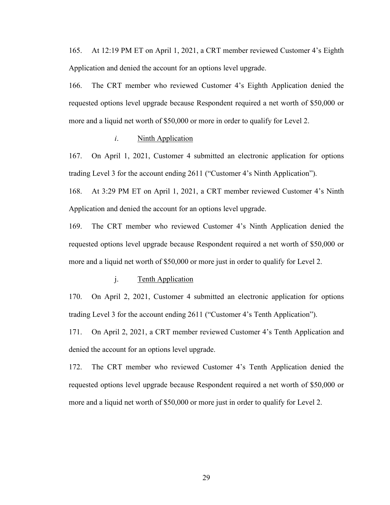165. At 12:19 PM ET on April 1, 2021, a CRT member reviewed Customer 4's Eighth Application and denied the account for an options level upgrade.

166. The CRT member who reviewed Customer 4's Eighth Application denied the requested options level upgrade because Respondent required a net worth of \$50,000 or more and a liquid net worth of \$50,000 or more in order to qualify for Level 2.

#### *i*. Ninth Application

167. On April 1, 2021, Customer 4 submitted an electronic application for options trading Level 3 for the account ending 2611 ("Customer 4's Ninth Application").

168. At 3:29 PM ET on April 1, 2021, a CRT member reviewed Customer 4's Ninth Application and denied the account for an options level upgrade.

169. The CRT member who reviewed Customer 4's Ninth Application denied the requested options level upgrade because Respondent required a net worth of \$50,000 or more and a liquid net worth of \$50,000 or more just in order to qualify for Level 2.

#### j. Tenth Application

170. On April 2, 2021, Customer 4 submitted an electronic application for options trading Level 3 for the account ending 2611 ("Customer 4's Tenth Application").

171. On April 2, 2021, a CRT member reviewed Customer 4's Tenth Application and denied the account for an options level upgrade.

172. The CRT member who reviewed Customer 4's Tenth Application denied the requested options level upgrade because Respondent required a net worth of \$50,000 or more and a liquid net worth of \$50,000 or more just in order to qualify for Level 2.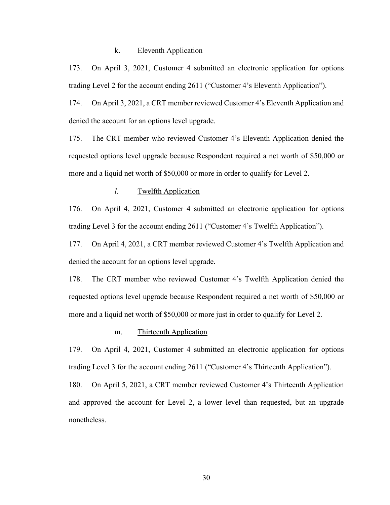#### k. Eleventh Application

173. On April 3, 2021, Customer 4 submitted an electronic application for options trading Level 2 for the account ending 2611 ("Customer 4's Eleventh Application").

174. On April 3, 2021, a CRT member reviewed Customer 4's Eleventh Application and denied the account for an options level upgrade.

175. The CRT member who reviewed Customer 4's Eleventh Application denied the requested options level upgrade because Respondent required a net worth of \$50,000 or more and a liquid net worth of \$50,000 or more in order to qualify for Level 2.

#### *l*. Twelfth Application

176. On April 4, 2021, Customer 4 submitted an electronic application for options trading Level 3 for the account ending 2611 ("Customer 4's Twelfth Application").

177. On April 4, 2021, a CRT member reviewed Customer 4's Twelfth Application and denied the account for an options level upgrade.

178. The CRT member who reviewed Customer 4's Twelfth Application denied the requested options level upgrade because Respondent required a net worth of \$50,000 or more and a liquid net worth of \$50,000 or more just in order to qualify for Level 2.

#### m. Thirteenth Application

179. On April 4, 2021, Customer 4 submitted an electronic application for options trading Level 3 for the account ending 2611 ("Customer 4's Thirteenth Application").

180. On April 5, 2021, a CRT member reviewed Customer 4's Thirteenth Application and approved the account for Level 2, a lower level than requested, but an upgrade nonetheless.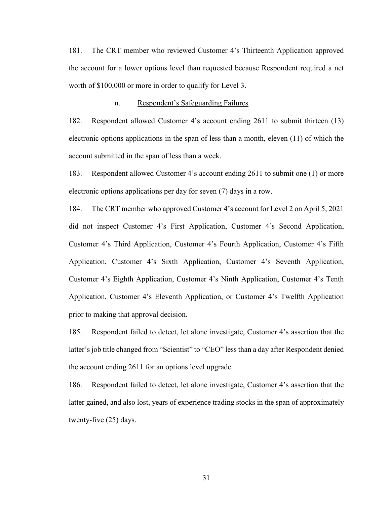181. The CRT member who reviewed Customer 4's Thirteenth Application approved the account for a lower options level than requested because Respondent required a net worth of \$100,000 or more in order to qualify for Level 3.

#### n. Respondent's Safeguarding Failures

182. Respondent allowed Customer 4's account ending 2611 to submit thirteen (13) electronic options applications in the span of less than a month, eleven (11) of which the account submitted in the span of less than a week.

183. Respondent allowed Customer 4's account ending 2611 to submit one (1) or more electronic options applications per day for seven (7) days in a row.

184. The CRT member who approved Customer 4's account for Level 2 on April 5, 2021 did not inspect Customer 4's First Application, Customer 4's Second Application, Customer 4's Third Application, Customer 4's Fourth Application, Customer 4's Fifth Application, Customer 4's Sixth Application, Customer 4's Seventh Application, Customer 4's Eighth Application, Customer 4's Ninth Application, Customer 4's Tenth Application, Customer 4's Eleventh Application, or Customer 4's Twelfth Application prior to making that approval decision.

185. Respondent failed to detect, let alone investigate, Customer 4's assertion that the latter's job title changed from "Scientist" to "CEO" less than a day after Respondent denied the account ending 2611 for an options level upgrade.

186. Respondent failed to detect, let alone investigate, Customer 4's assertion that the latter gained, and also lost, years of experience trading stocks in the span of approximately twenty-five (25) days.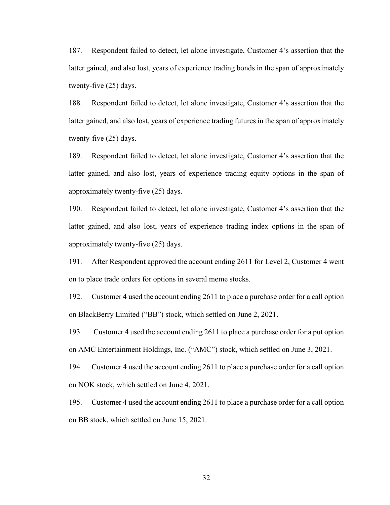187. Respondent failed to detect, let alone investigate, Customer 4's assertion that the latter gained, and also lost, years of experience trading bonds in the span of approximately twenty-five (25) days.

188. Respondent failed to detect, let alone investigate, Customer 4's assertion that the latter gained, and also lost, years of experience trading futures in the span of approximately twenty-five (25) days.

189. Respondent failed to detect, let alone investigate, Customer 4's assertion that the latter gained, and also lost, years of experience trading equity options in the span of approximately twenty-five (25) days.

190. Respondent failed to detect, let alone investigate, Customer 4's assertion that the latter gained, and also lost, years of experience trading index options in the span of approximately twenty-five (25) days.

191. After Respondent approved the account ending 2611 for Level 2, Customer 4 went on to place trade orders for options in several meme stocks.

192. Customer 4 used the account ending 2611 to place a purchase order for a call option on BlackBerry Limited ("BB") stock, which settled on June 2, 2021.

193. Customer 4 used the account ending 2611 to place a purchase order for a put option on AMC Entertainment Holdings, Inc. ("AMC") stock, which settled on June 3, 2021.

194. Customer 4 used the account ending 2611 to place a purchase order for a call option on NOK stock, which settled on June 4, 2021.

195. Customer 4 used the account ending 2611 to place a purchase order for a call option on BB stock, which settled on June 15, 2021.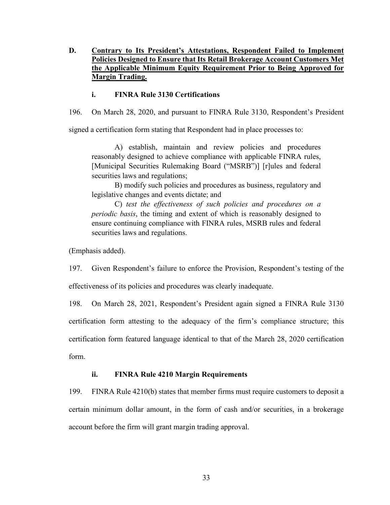## **D. Contrary to Its President's Attestations, Respondent Failed to Implement Policies Designed to Ensure that Its Retail Brokerage Account Customers Met the Applicable Minimum Equity Requirement Prior to Being Approved for Margin Trading.**

## **i. FINRA Rule 3130 Certifications**

196. On March 28, 2020, and pursuant to FINRA Rule 3130, Respondent's President

signed a certification form stating that Respondent had in place processes to:

A) establish, maintain and review policies and procedures reasonably designed to achieve compliance with applicable FINRA rules, [Municipal Securities Rulemaking Board ("MSRB")] [r]ules and federal securities laws and regulations;

B) modify such policies and procedures as business, regulatory and legislative changes and events dictate; and

C) *test the effectiveness of such policies and procedures on a periodic basis*, the timing and extent of which is reasonably designed to ensure continuing compliance with FINRA rules, MSRB rules and federal securities laws and regulations.

(Emphasis added).

197. Given Respondent's failure to enforce the Provision, Respondent's testing of the

effectiveness of its policies and procedures was clearly inadequate.

198. On March 28, 2021, Respondent's President again signed a FINRA Rule 3130 certification form attesting to the adequacy of the firm's compliance structure; this certification form featured language identical to that of the March 28, 2020 certification form.

## **ii. FINRA Rule 4210 Margin Requirements**

199. FINRA Rule 4210(b) states that member firms must require customers to deposit a certain minimum dollar amount, in the form of cash and/or securities, in a brokerage account before the firm will grant margin trading approval.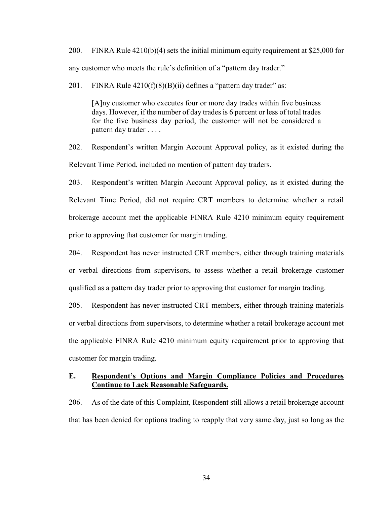200. FINRA Rule 4210(b)(4) sets the initial minimum equity requirement at \$25,000 for any customer who meets the rule's definition of a "pattern day trader."

201. FINRA Rule  $4210(f)(8)(B)(ii)$  defines a "pattern day trader" as:

[A]ny customer who executes four or more day trades within five business days. However, if the number of day trades is 6 percent or less of total trades for the five business day period, the customer will not be considered a pattern day trader . . . .

202. Respondent's written Margin Account Approval policy, as it existed during the Relevant Time Period, included no mention of pattern day traders.

203. Respondent's written Margin Account Approval policy, as it existed during the Relevant Time Period, did not require CRT members to determine whether a retail brokerage account met the applicable FINRA Rule 4210 minimum equity requirement prior to approving that customer for margin trading.

204. Respondent has never instructed CRT members, either through training materials or verbal directions from supervisors, to assess whether a retail brokerage customer qualified as a pattern day trader prior to approving that customer for margin trading.

205. Respondent has never instructed CRT members, either through training materials or verbal directions from supervisors, to determine whether a retail brokerage account met the applicable FINRA Rule 4210 minimum equity requirement prior to approving that customer for margin trading.

## **E. Respondent's Options and Margin Compliance Policies and Procedures Continue to Lack Reasonable Safeguards.**

206. As of the date of this Complaint, Respondent still allows a retail brokerage account that has been denied for options trading to reapply that very same day, just so long as the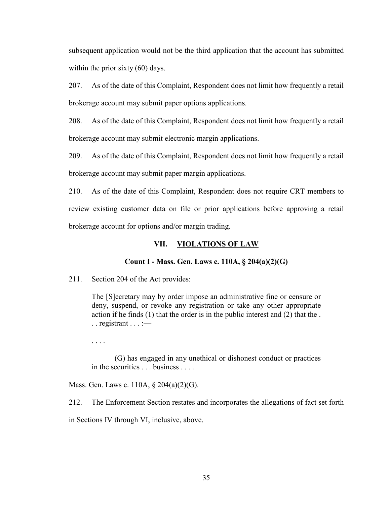subsequent application would not be the third application that the account has submitted within the prior sixty (60) days.

207. As of the date of this Complaint, Respondent does not limit how frequently a retail brokerage account may submit paper options applications.

208. As of the date of this Complaint, Respondent does not limit how frequently a retail brokerage account may submit electronic margin applications.

209. As of the date of this Complaint, Respondent does not limit how frequently a retail brokerage account may submit paper margin applications.

210. As of the date of this Complaint, Respondent does not require CRT members to review existing customer data on file or prior applications before approving a retail brokerage account for options and/or margin trading.

#### **VII. VIOLATIONS OF LAW**

### **Count I - Mass. Gen. Laws c. 110A, § 204(a)(2)(G)**

211. Section 204 of the Act provides:

The [S]ecretary may by order impose an administrative fine or censure or deny, suspend, or revoke any registration or take any other appropriate action if he finds (1) that the order is in the public interest and (2) that the .  $\ldots$  registrant  $\ldots$  :—

. . . .

(G) has engaged in any unethical or dishonest conduct or practices in the securities . . . business . . . .

Mass. Gen. Laws c. 110A, § 204(a)(2)(G).

212. The Enforcement Section restates and incorporates the allegations of fact set forth in Sections IV through VI, inclusive, above.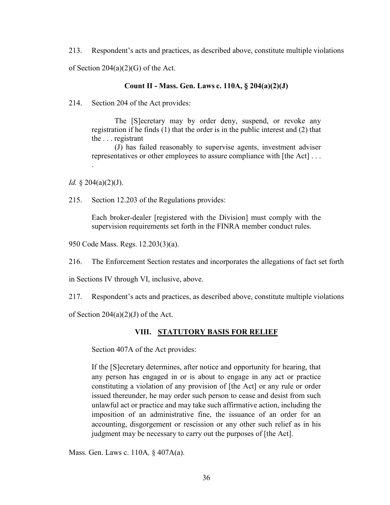213. Respondent's acts and practices, as described above, constitute multiple violations of Section 204(a)(2)(G) of the Act.

#### **Count II - Mass. Gen. Laws c. 110A, § 204(a)(2)(J)**

214. Section 204 of the Act provides:

The [S]ecretary may by order deny, suspend, or revoke any registration if he finds (1) that the order is in the public interest and (2) that the . . . registrant

(J) has failed reasonably to supervise agents, investment adviser representatives or other employees to assure compliance with [the Act] . . .

*Id.* § 204(a)(2)(J).

.

215. Section 12.203 of the Regulations provides:

Each broker-dealer [registered with the Division] must comply with the supervision requirements set forth in the FINRA member conduct rules.

950 Code Mass. Regs. 12.203(3)(a).

216. The Enforcement Section restates and incorporates the allegations of fact set forth

in Sections IV through VI, inclusive, above.

217. Respondent's acts and practices, as described above, constitute multiple violations

of Section  $204(a)(2)(J)$  of the Act.

#### **VIII. STATUTORY BASIS FOR RELIEF**

Section 407A of the Act provides:

If the [S]ecretary determines, after notice and opportunity for hearing, that any person has engaged in or is about to engage in any act or practice constituting a violation of any provision of [the Act] or any rule or order issued thereunder, he may order such person to cease and desist from such unlawful act or practice and may take such affirmative action, including the imposition of an administrative fine, the issuance of an order for an accounting, disgorgement or rescission or any other such relief as in his judgment may be necessary to carry out the purposes of [the Act].

Mass. Gen. Laws c. 110A*,* § 407A(a).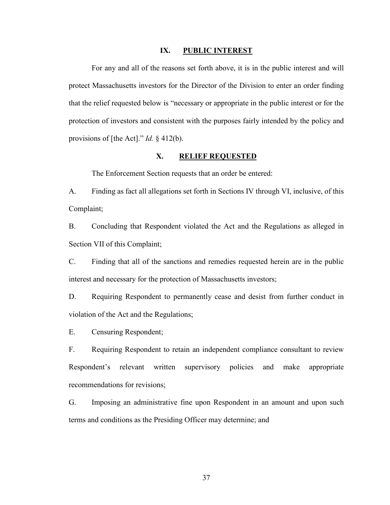## **IX. PUBLIC INTEREST**

For any and all of the reasons set forth above, it is in the public interest and will protect Massachusetts investors for the Director of the Division to enter an order finding that the relief requested below is "necessary or appropriate in the public interest or for the protection of investors and consistent with the purposes fairly intended by the policy and provisions of [the Act]." *Id.* § 412(b).

### **X. RELIEF REQUESTED**

The Enforcement Section requests that an order be entered:

A. Finding as fact all allegations set forth in Sections IV through VI, inclusive, of this Complaint;

B. Concluding that Respondent violated the Act and the Regulations as alleged in Section VII of this Complaint;

C. Finding that all of the sanctions and remedies requested herein are in the public interest and necessary for the protection of Massachusetts investors;

D. Requiring Respondent to permanently cease and desist from further conduct in violation of the Act and the Regulations;

E. Censuring Respondent;

F. Requiring Respondent to retain an independent compliance consultant to review Respondent's relevant written supervisory policies and make appropriate recommendations for revisions;

G. Imposing an administrative fine upon Respondent in an amount and upon such terms and conditions as the Presiding Officer may determine; and